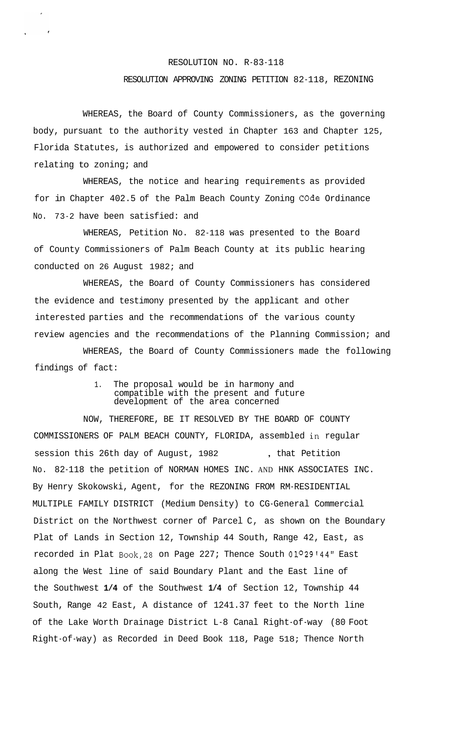## RESOLUTION NO. R-83-118

## RESOLUTION APPROVING ZONING PETITION 82-118, REZONING

WHEREAS, the Board of County Commissioners, as the governing body, pursuant to the authority vested in Chapter 163 and Chapter 125, Florida Statutes, is authorized and empowered to consider petitions relating to zoning; and

WHEREAS, the notice and hearing requirements as provided for in Chapter 402.5 of the Palm Beach County Zoning **Code** Ordinance No. 73-2 have been satisfied: and

WHEREAS, Petition No. 82-118 was presented to the Board of County Commissioners of Palm Beach County at its public hearing conducted on 26 August 1982; and

WHEREAS, the Board of County Commissioners has considered the evidence and testimony presented by the applicant and other interested parties and the recommendations of the various county review agencies and the recommendations of the Planning Commission; and

WHEREAS, the Board of County Commissioners made the following findings of fact:

> 1. The proposal would be in harmony and compatible with the present and future development of the area concerned

NOW, THEREFORE, BE IT RESOLVED BY THE BOARD OF COUNTY COMMISSIONERS OF PALM BEACH COUNTY, FLORIDA, assembled in regular session this 26th day of August, 1982 , that Petition No. 82-118 the petition of NORMAN HOMES INC. AND HNK ASSOCIATES INC. By Henry Skokowski, Agent, for the REZONING FROM RM-RESIDENTIAL MULTIPLE FAMILY DISTRICT (Medium Density) to CG-General Commercial District on the Northwest corner of Parcel C, as shown on the Boundary Plat of Lands in Section 12, Township 44 South, Range 42, East, as recorded in Plat Book,28 on Page 227; Thence South **01029r44"** East along the West line of said Boundary Plant and the East line of the Southwest **1/4** of the Southwest **1/4** of Section 12, Township 44 South, Range 42 East, A distance of 1241.37 feet to the North line of the Lake Worth Drainage District L-8 Canal Right-of-way (80 Foot Right-of-way) as Recorded in Deed Book 118, Page 518; Thence North